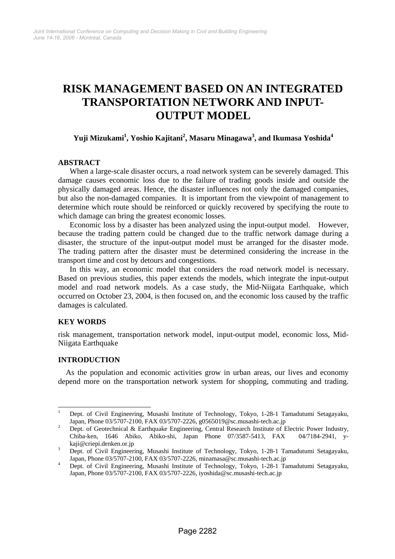# **RISK MANAGEMENT BASED ON AN INTEGRATED TRANSPORTATION NETWORK AND INPUT-OUTPUT MODEL**

# **Yuji Mizukami1 , Yoshio Kajitani2 , Masaru Minagawa<sup>3</sup> , and Ikumasa Yoshida<sup>4</sup>**

## **ABSTRACT**

When a large-scale disaster occurs, a road network system can be severely damaged. This damage causes economic loss due to the failure of trading goods inside and outside the physically damaged areas. Hence, the disaster influences not only the damaged companies, but also the non-damaged companies. It is important from the viewpoint of management to determine which route should be reinforced or quickly recovered by specifying the route to which damage can bring the greatest economic losses.

Economic loss by a disaster has been analyzed using the input-output model. However, because the trading pattern could be changed due to the traffic network damage during a disaster, the structure of the input-output model must be arranged for the disaster mode. The trading pattern after the disaster must be determined considering the increase in the transport time and cost by detours and congestions.

In this way, an economic model that considers the road network model is necessary. Based on previous studies, this paper extends the models, which integrate the input-output model and road network models. As a case study, the Mid-Niigata Earthquake, which occurred on October 23, 2004, is then focused on, and the economic loss caused by the traffic damages is calculated.

## **KEY WORDS**

risk management, transportation network model, input-output model, economic loss, Mid-Niigata Earthquake

## **INTRODUCTION**

 $\overline{a}$ 

As the population and economic activities grow in urban areas, our lives and economy depend more on the transportation network system for shopping, commuting and trading.

<sup>1</sup> Dept. of Civil Engineering, Musashi Institute of Technology, Tokyo, 1-28-1 Tamadutumi Setagayaku, Japan, Phone 03/5707-2100, FAX 03/5707-2226, g0565019@sc.musashi-tech.ac.jp 2

Dept. of Geotechnical & Earthquake Engineering, Central Research Institute of Electric Power Industry, Chiba-ken, 1646 Abiko, Abiko-shi, Japan Phone 07/3587-5413, FAX 04/7184-2941, ykaji@criepi.denken.or.jp 3

Dept. of Civil Engineering, Musashi Institute of Technology, Tokyo, 1-28-1 Tamadutumi Setagayaku, Japan, Phone 03/5707-2100, FAX 03/5707-2226, minamasa@sc.musashi-tech.ac.jp

Dept. of Civil Engineering, Musashi Institute of Technology, Tokyo, 1-28-1 Tamadutumi Setagayaku, Japan, Phone 03/5707-2100, FAX 03/5707-2226, iyoshida@sc.musashi-tech.ac.jp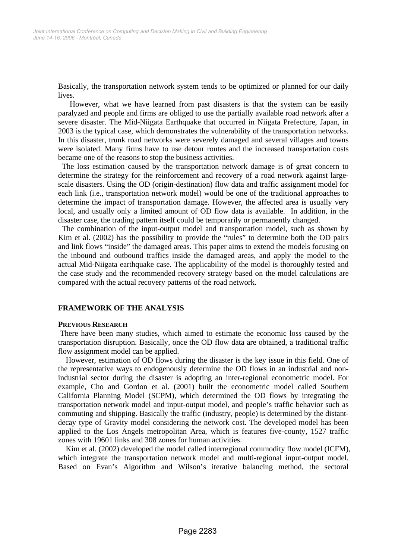Basically, the transportation network system tends to be optimized or planned for our daily lives.

However, what we have learned from past disasters is that the system can be easily paralyzed and people and firms are obliged to use the partially available road network after a severe disaster. The Mid-Niigata Earthquake that occurred in Niigata Prefecture, Japan, in 2003 is the typical case, which demonstrates the vulnerability of the transportation networks. In this disaster, trunk road networks were severely damaged and several villages and towns were isolated. Many firms have to use detour routes and the increased transportation costs became one of the reasons to stop the business activities.

The loss estimation caused by the transportation network damage is of great concern to determine the strategy for the reinforcement and recovery of a road network against largescale disasters. Using the OD (origin-destination) flow data and traffic assignment model for each link (i.e., transportation network model) would be one of the traditional approaches to determine the impact of transportation damage. However, the affected area is usually very local, and usually only a limited amount of OD flow data is available. In addition, in the disaster case, the trading pattern itself could be temporarily or permanently changed.

The combination of the input-output model and transportation model, such as shown by Kim et al. (2002) has the possibility to provide the "rules" to determine both the OD pairs and link flows "inside" the damaged areas. This paper aims to extend the models focusing on the inbound and outbound traffics inside the damaged areas, and apply the model to the actual Mid-Niigata earthquake case. The applicability of the model is thoroughly tested and the case study and the recommended recovery strategy based on the model calculations are compared with the actual recovery patterns of the road network.

## **FRAMEWORK OF THE ANALYSIS**

#### **PREVIOUS RESEARCH**

 There have been many studies, which aimed to estimate the economic loss caused by the transportation disruption. Basically, once the OD flow data are obtained, a traditional traffic flow assignment model can be applied.

However, estimation of OD flows during the disaster is the key issue in this field. One of the representative ways to endogenously determine the OD flows in an industrial and nonindustrial sector during the disaster is adopting an inter-regional econometric model. For example, Cho and Gordon et al. (2001) built the econometric model called Southern California Planning Model (SCPM), which determined the OD flows by integrating the transportation network model and input-output model, and people's traffic behavior such as commuting and shipping. Basically the traffic (industry, people) is determined by the distantdecay type of Gravity model considering the network cost. The developed model has been applied to the Los Angels metropolitan Area, which is features five-county, 1527 traffic zones with 19601 links and 308 zones for human activities.

Kim et al. (2002) developed the model called interregional commodity flow model (ICFM), which integrate the transportation network model and multi-regional input-output model. Based on Evan's Algorithm and Wilson's iterative balancing method, the sectoral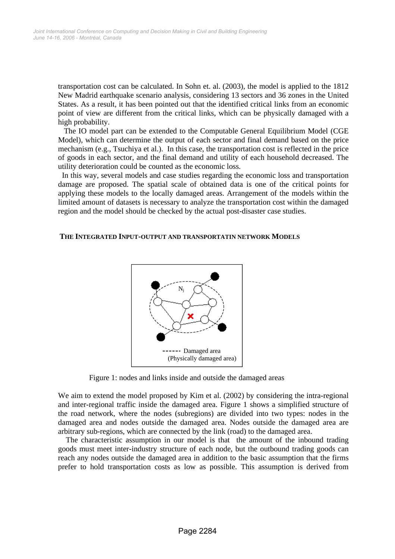transportation cost can be calculated. In Sohn et. al. (2003), the model is applied to the 1812 New Madrid earthquake scenario analysis, considering 13 sectors and 36 zones in the United States. As a result, it has been pointed out that the identified critical links from an economic point of view are different from the critical links, which can be physically damaged with a high probability.

 The IO model part can be extended to the Computable General Equilibrium Model (CGE Model), which can determine the output of each sector and final demand based on the price mechanism (e.g., Tsuchiya et al.). In this case, the transportation cost is reflected in the price of goods in each sector, and the final demand and utility of each household decreased. The utility deterioration could be counted as the economic loss.

 In this way, several models and case studies regarding the economic loss and transportation damage are proposed. The spatial scale of obtained data is one of the critical points for applying these models to the locally damaged areas. Arrangement of the models within the limited amount of datasets is necessary to analyze the transportation cost within the damaged region and the model should be checked by the actual post-disaster case studies.

#### **THE INTEGRATED INPUT-OUTPUT AND TRANSPORTATIN NETWORK MODELS**



Figure 1: nodes and links inside and outside the damaged areas

We aim to extend the model proposed by Kim et al. (2002) by considering the intra-regional and inter-regional traffic inside the damaged area. Figure 1 shows a simplified structure of the road network, where the nodes (subregions) are divided into two types: nodes in the damaged area and nodes outside the damaged area. Nodes outside the damaged area are arbitrary sub-regions, which are connected by the link (road) to the damaged area.

The characteristic assumption in our model is that the amount of the inbound trading goods must meet inter-industry structure of each node, but the outbound trading goods can reach any nodes outside the damaged area in addition to the basic assumption that the firms prefer to hold transportation costs as low as possible. This assumption is derived from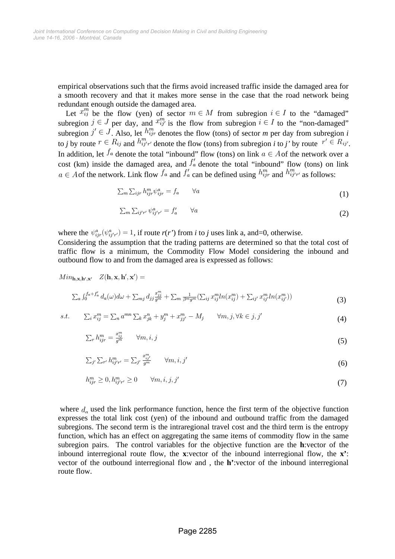empirical observations such that the firms avoid increased traffic inside the damaged area for a smooth recovery and that it makes more sense in the case that the road network being redundant enough outside the damaged area.

Let  $x_{ij}^m$  be the flow (yen) of sector  $m \in M$  from subregion  $i \in I$  to the "damaged" subregion  $j \in J$  per day, and  $x_{ij}^m$  is the flow from subregion  $i \in I$  to the "non-damaged" subregion  $j' \in J$ . Also, let  $h_{ijr}^m$  denotes the flow (tons) of sector *m* per day from subregion *i* to *j* by route  $r \in R_{ij}$  and  $h_{ij'r'}^m$  denote the flow (tons) from subregion *i* to *j'* by route  $r' \in R_{ij'}$ . In addition, let  $f_a$  denote the total "inbound" flow (tons) on link  $a \in A$  of the network over a cost (km) inside the damaged area, and  $f_a$  denote the total "inbound" flow (tons) on link  $a \in A$  of the network. Link flow  $f_a$  and  $f'_a$  can be defined using  $h_{ijr}^m$  and  $h_{ijr'}^m$  as follows:

$$
\sum_{m} \sum_{ijr} h_{ijr}^m \psi_{ijr}^a = f_a \qquad \forall a \tag{1}
$$

$$
\sum_{m} \sum_{ij'r'} \psi_{ij'r'}^{a} = f'_a \qquad \forall a
$$
 (2)

where the  $\psi_{ijr}^a(\psi_{ij'r'}^a) = 1$ , if route  $r(r')$  from *i* to *j* uses link a, and=0, otherwise.

Considering the assumption that the trading patterns are determined so that the total cost of traffic flow is a minimum, the Commodity Flow Model considering the inbound and outbound flow to and from the damaged area is expressed as follows:

$$
Min_{\mathbf{h},\mathbf{x},\mathbf{h}',\mathbf{x}'} Z(\mathbf{h},\mathbf{x},\mathbf{h}',\mathbf{x}') =
$$
  

$$
\sum_{a} \int_{0}^{f_{a}+f'_{a}} d_{a}(\omega) d\omega + \sum_{mj} d_{jj} \frac{x_{jj}^{m}}{g^{m}} + \sum_{m} \frac{1}{\beta^{m}g^{m}} \left( \sum_{ij} x_{ij}^{m} ln(x_{ij}^{m}) + \sum_{ij'} x_{ij'}^{m} ln(x_{ij'}^{m}) \right)
$$
(3)

$$
s.t. \qquad \sum_i x_{ij}^m = \sum_n a^{mn} \sum_k x_{jk}^n + y_j^m + x_{jj'}^m - M_j \qquad \forall m, j, \forall k \in j, j'
$$
\n
$$
\tag{4}
$$

$$
\sum_{r} h_{ijr}^m = \frac{x_{ij}^m}{g^m} \qquad \forall m, i, j \tag{5}
$$

$$
\sum_{j'} \sum_{r'} h^{m}_{ij'r'} = \sum_{j'} \frac{x^{m}_{ij'}}{g^{m}} \qquad \forall m, i, j' \qquad (6)
$$

$$
h_{ijr}^m \ge 0, h_{ij'r'}^m \ge 0 \qquad \forall m, i, j, j'\tag{7}
$$

where  $d_a$  used the link performance function, hence the first term of the objective function expresses the total link cost (yen) of the inbound and outbound traffic from the damaged subregions. The second term is the intraregional travel cost and the third term is the entropy function, which has an effect on aggregating the same items of commodity flow in the same subregion pairs. The control variables for the objective function are the **h**:vector of the indound interregional route flow, the **x**:vector of the inbound interregional flow, the **x**': vector of the outbound interregional flow and , the **h'**:vector of the inbound interregional route flow.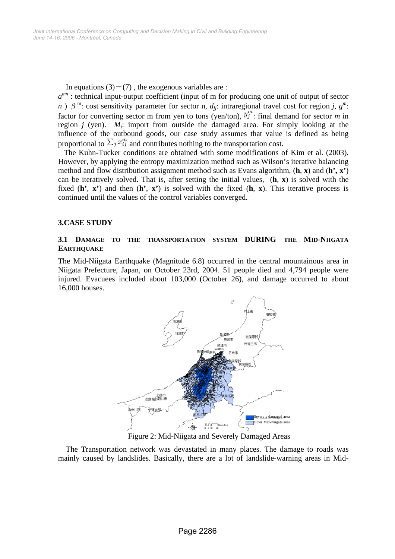In equations  $(3)-(7)$ , the exogenous variables are :

 $a^{mn}$ : technical input-output coefficient (input of m for producing one unit of output of sector *n* )  $\beta^m$ : cost sensitivity parameter for sector n, *d<sub>ij</sub>*: intraregional travel cost for region *j*,  $g^m$ : factor for converting sector m from yen to tons (yen/ton),  $y_j^m$ : final demand for sector *m* in region *j* (yen).  $M_j$ : import from outside the damaged area. For simply looking at the influence of the outbound goods, our case study assumes that value is defined as being proportional to  $\sum_j x_{ij}^m$  and contributes nothing to the transportation cost.

 The Kuhn-Tucker conditions are obtained with some modifications of Kim et al. (2003). However, by applying the entropy maximization method such as Wilson's iterative balancing method and flow distribution assignment method such as Evans algorithm, (**h**, **x**) and (**h', x'**) can be iteratively solved. That is, after setting the initial values, (**h**, **x**) is solved with the fixed (**h'**, **x'**) and then (**h'**, **x'**) is solved with the fixed (**h**, **x**). This iterative process is continued until the values of the control variables converged.

## **3.CASE STUDY**

## **3.1 DAMAGE TO THE TRANSPORTATION SYSTEM DURING THE MID-NIIGATA EARTHQUAKE**

The Mid-Niigata Earthquake (Magnitude 6.8) occurred in the central mountainous area in Niigata Prefecture, Japan, on October 23rd, 2004. 51 people died and 4,794 people were injured. Evacuees included about 103,000 (October 26), and damage occurred to about 16,000 houses.



Figure 2: Mid-Niigata and Severely Damaged Areas

The Transportation network was devastated in many places. The damage to roads was mainly caused by landslides. Basically, there are a lot of landslide-warning areas in Mid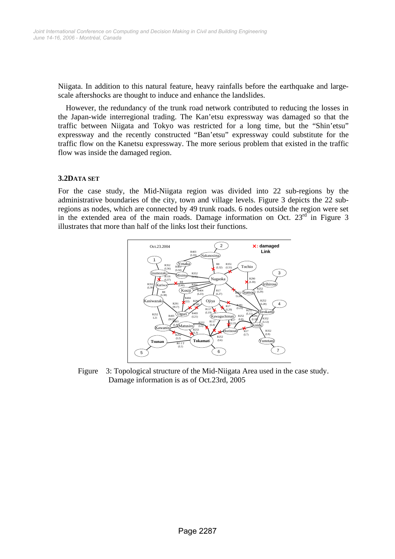Niigata. In addition to this natural feature, heavy rainfalls before the earthquake and largescale aftershocks are thought to induce and enhance the landslides.

However, the redundancy of the trunk road network contributed to reducing the losses in the Japan-wide interregional trading. The Kan'etsu expressway was damaged so that the traffic between Niigata and Tokyo was restricted for a long time, but the "Shin'etsu" expressway and the recently constructed "Ban'etsu" expressway could substitute for the traffic flow on the Kanetsu expressway. The more serious problem that existed in the traffic flow was inside the damaged region.

#### **3.2DATA SET**

For the case study, the Mid-Niigata region was divided into 22 sub-regions by the administrative boundaries of the city, town and village levels. Figure 3 depicts the 22 subregions as nodes, which are connected by 49 trunk roads. 6 nodes outside the region were set in the extended area of the main roads. Damage information on Oct.  $23<sup>rd</sup>$  in Figure 3 illustrates that more than half of the links lost their functions.



Figure 3: Topological structure of the Mid-Niigata Area used in the case study. Damage information is as of Oct.23rd, 2005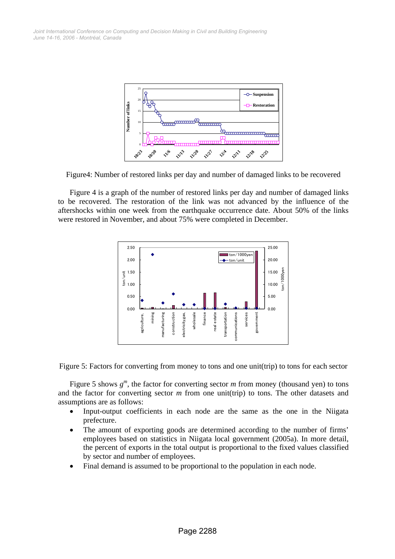

Figure4: Number of restored links per day and number of damaged links to be recovered

Figure 4 is a graph of the number of restored links per day and number of damaged links to be recovered. The restoration of the link was not advanced by the influence of the aftershocks within one week from the earthquake occurrence date. About 50% of the links were restored in November, and about 75% were completed in December.



Figure 5: Factors for converting from money to tons and one unit(trip) to tons for each sector

Figure 5 shows  $g^m$ , the factor for converting sector  $m$  from money (thousand yen) to tons and the factor for converting sector *m* from one unit(trip) to tons. The other datasets and assumptions are as follows:

- Input-output coefficients in each node are the same as the one in the Niigata prefecture.
- The amount of exporting goods are determined according to the number of firms' employees based on statistics in Niigata local government (2005a). In more detail, the percent of exports in the total output is proportional to the fixed values classified by sector and number of employees.
- Final demand is assumed to be proportional to the population in each node.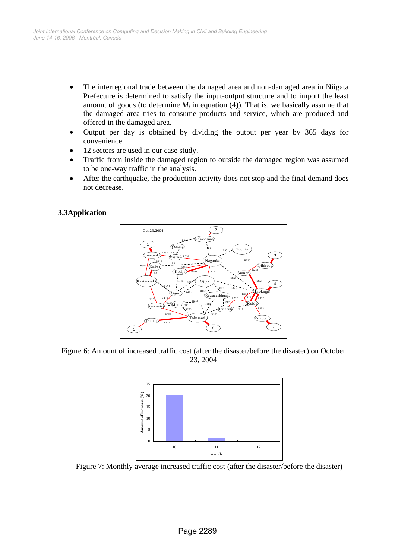- The interregional trade between the damaged area and non-damaged area in Niigata Prefecture is determined to satisfy the input-output structure and to import the least amount of goods (to determine  $M_i$  in equation (4)). That is, we basically assume that the damaged area tries to consume products and service, which are produced and offered in the damaged area.
- Output per day is obtained by dividing the output per year by 365 days for convenience.
- 12 sectors are used in our case study.
- Traffic from inside the damaged region to outside the damaged region was assumed to be one-way traffic in the analysis.
- After the earthquake, the production activity does not stop and the final demand does not decrease.

## **3.3Application**



Figure 6: Amount of increased traffic cost (after the disaster/before the disaster) on October 23, 2004



Figure 7: Monthly average increased traffic cost (after the disaster/before the disaster)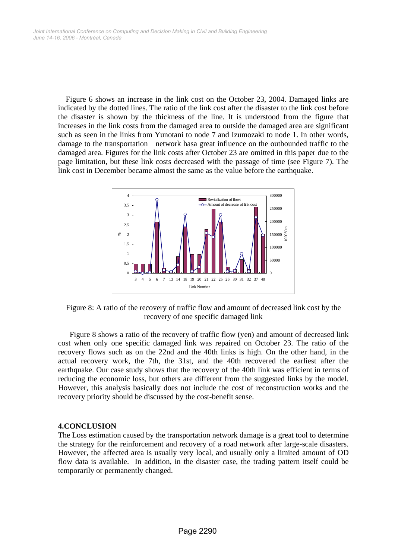Figure 6 shows an increase in the link cost on the October 23, 2004. Damaged links are indicated by the dotted lines. The ratio of the link cost after the disaster to the link cost before the disaster is shown by the thickness of the line. It is understood from the figure that increases in the link costs from the damaged area to outside the damaged area are significant such as seen in the links from Yunotani to node 7 and Izumozaki to node 1. In other words, damage to the transportation network hasa great influence on the outbounded traffic to the damaged area. Figures for the link costs after October 23 are omitted in this paper due to the page limitation, but these link costs decreased with the passage of time (see Figure 7). The link cost in December became almost the same as the value before the earthquake.



Figure 8: A ratio of the recovery of traffic flow and amount of decreased link cost by the recovery of one specific damaged link

Figure 8 shows a ratio of the recovery of traffic flow (yen) and amount of decreased link cost when only one specific damaged link was repaired on October 23. The ratio of the recovery flows such as on the 22nd and the 40th links is high. On the other hand, in the actual recovery work, the 7th, the 31st, and the 40th recovered the earliest after the earthquake. Our case study shows that the recovery of the 40th link was efficient in terms of reducing the economic loss, but others are different from the suggested links by the model. However, this analysis basically does not include the cost of reconstruction works and the recovery priority should be discussed by the cost-benefit sense.

#### **4.CONCLUSION**

The Loss estimation caused by the transportation network damage is a great tool to determine the strategy for the reinforcement and recovery of a road network after large-scale disasters. However, the affected area is usually very local, and usually only a limited amount of OD flow data is available. In addition, in the disaster case, the trading pattern itself could be temporarily or permanently changed.